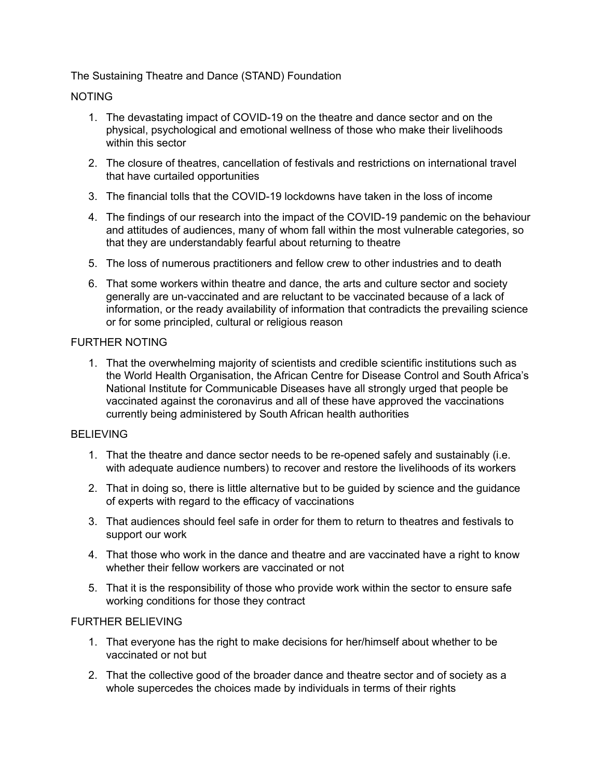## The Sustaining Theatre and Dance (STAND) Foundation

### NOTING

- 1. The devastating impact of COVID-19 on the theatre and dance sector and on the physical, psychological and emotional wellness of those who make their livelihoods within this sector
- 2. The closure of theatres, cancellation of festivals and restrictions on international travel that have curtailed opportunities
- 3. The financial tolls that the COVID-19 lockdowns have taken in the loss of income
- 4. The findings of our research into the impact of the COVID-19 pandemic on the behaviour and attitudes of audiences, many of whom fall within the most vulnerable categories, so that they are understandably fearful about returning to theatre
- 5. The loss of numerous practitioners and fellow crew to other industries and to death
- 6. That some workers within theatre and dance, the arts and culture sector and society generally are un-vaccinated and are reluctant to be vaccinated because of a lack of information, or the ready availability of information that contradicts the prevailing science or for some principled, cultural or religious reason

# FURTHER NOTING

1. That the overwhelming majority of scientists and credible scientific institutions such as the World Health Organisation, the African Centre for Disease Control and South Africa's National Institute for Communicable Diseases have all strongly urged that people be vaccinated against the coronavirus and all of these have approved the vaccinations currently being administered by South African health authorities

### BELIEVING

- 1. That the theatre and dance sector needs to be re-opened safely and sustainably (i.e. with adequate audience numbers) to recover and restore the livelihoods of its workers
- 2. That in doing so, there is little alternative but to be guided by science and the guidance of experts with regard to the efficacy of vaccinations
- 3. That audiences should feel safe in order for them to return to theatres and festivals to support our work
- 4. That those who work in the dance and theatre and are vaccinated have a right to know whether their fellow workers are vaccinated or not
- 5. That it is the responsibility of those who provide work within the sector to ensure safe working conditions for those they contract

### FURTHER BELIEVING

- 1. That everyone has the right to make decisions for her/himself about whether to be vaccinated or not but
- 2. That the collective good of the broader dance and theatre sector and of society as a whole supercedes the choices made by individuals in terms of their rights